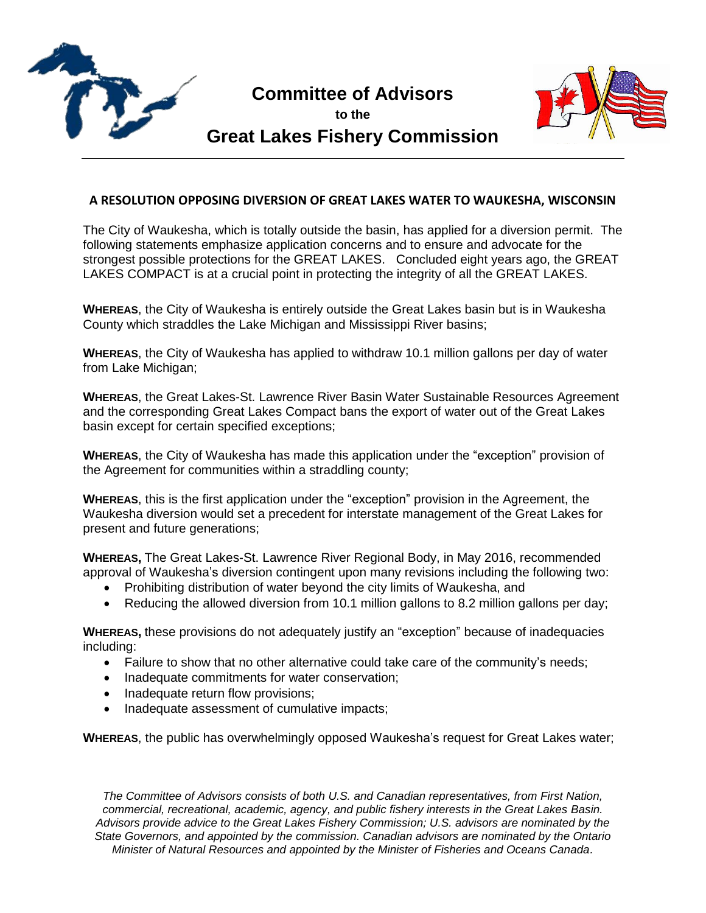

## **Committee of Advisors**

**to the**



## **Great Lakes Fishery Commission**

## **A RESOLUTION OPPOSING DIVERSION OF GREAT LAKES WATER TO WAUKESHA, WISCONSIN**

The City of Waukesha, which is totally outside the basin, has applied for a diversion permit. The following statements emphasize application concerns and to ensure and advocate for the strongest possible protections for the GREAT LAKES. Concluded eight years ago, the GREAT LAKES COMPACT is at a crucial point in protecting the integrity of all the GREAT LAKES.

**WHEREAS**, the City of Waukesha is entirely outside the Great Lakes basin but is in Waukesha County which straddles the Lake Michigan and Mississippi River basins;

**WHEREAS**, the City of Waukesha has applied to withdraw 10.1 million gallons per day of water from Lake Michigan;

**WHEREAS**, the Great Lakes-St. Lawrence River Basin Water Sustainable Resources Agreement and the corresponding Great Lakes Compact bans the export of water out of the Great Lakes basin except for certain specified exceptions;

**WHEREAS**, the City of Waukesha has made this application under the "exception" provision of the Agreement for communities within a straddling county;

**WHEREAS**, this is the first application under the "exception" provision in the Agreement, the Waukesha diversion would set a precedent for interstate management of the Great Lakes for present and future generations;

**WHEREAS,** The Great Lakes-St. Lawrence River Regional Body, in May 2016, recommended approval of Waukesha's diversion contingent upon many revisions including the following two:

- Prohibiting distribution of water beyond the city limits of Waukesha, and
- Reducing the allowed diversion from 10.1 million gallons to 8.2 million gallons per day;

**WHEREAS,** these provisions do not adequately justify an "exception" because of inadequacies including:

- Failure to show that no other alternative could take care of the community's needs;
- Inadequate commitments for water conservation;
- Inadequate return flow provisions;
- Inadequate assessment of cumulative impacts;

**WHEREAS**, the public has overwhelmingly opposed Waukesha's request for Great Lakes water;

*The Committee of Advisors consists of both U.S. and Canadian representatives, from First Nation, commercial, recreational, academic, agency, and public fishery interests in the Great Lakes Basin. Advisors provide advice to the Great Lakes Fishery Commission; U.S. advisors are nominated by the State Governors, and appointed by the commission. Canadian advisors are nominated by the Ontario Minister of Natural Resources and appointed by the Minister of Fisheries and Oceans Canada.*